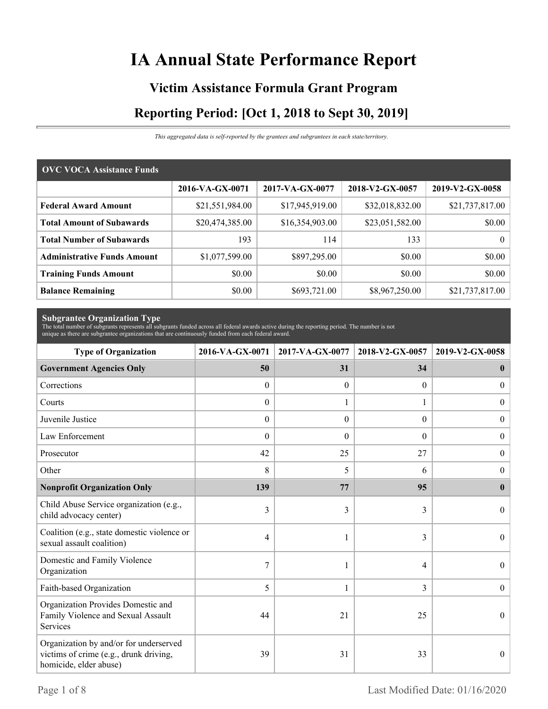# **IA Annual State Performance Report**

# **Victim Assistance Formula Grant Program Reporting Period: [Oct 1, 2018 to Sept 30, 2019]**

*This aggregated data is self-reported by the grantees and subgrantees in each state/territory.*

| <b>OVC VOCA Assistance Funds</b>   |                 |                 |                 |                 |  |  |  |
|------------------------------------|-----------------|-----------------|-----------------|-----------------|--|--|--|
|                                    | 2016-VA-GX-0071 | 2017-VA-GX-0077 | 2018-V2-GX-0057 | 2019-V2-GX-0058 |  |  |  |
| <b>Federal Award Amount</b>        | \$21,551,984.00 | \$17,945,919.00 | \$32,018,832.00 | \$21,737,817.00 |  |  |  |
| <b>Total Amount of Subawards</b>   | \$20,474,385.00 | \$16,354,903.00 | \$23,051,582.00 | \$0.00          |  |  |  |
| <b>Total Number of Subawards</b>   | 193             | 114             | 133             | $\theta$        |  |  |  |
| <b>Administrative Funds Amount</b> | \$1,077,599.00  | \$897,295.00    | \$0.00          | \$0.00          |  |  |  |
| <b>Training Funds Amount</b>       | \$0.00          | \$0.00          | \$0.00          | \$0.00          |  |  |  |
| <b>Balance Remaining</b>           | \$0.00          | \$693,721.00    | \$8,967,250.00  | \$21,737,817.00 |  |  |  |

**Subgrantee Organization Type** The total number of subgrants represents all subgrants funded across all federal awards active during the reporting period. The number is not unique as there are subgrantee organizations that are continuously funded from each federal award.

| <b>Type of Organization</b>                                                                                | 2016-VA-GX-0071  | 2017-VA-GX-0077  | 2018-V2-GX-0057  | 2019-V2-GX-0058  |
|------------------------------------------------------------------------------------------------------------|------------------|------------------|------------------|------------------|
| <b>Government Agencies Only</b>                                                                            | 50               | 31               | 34               | $\bf{0}$         |
| Corrections                                                                                                | $\theta$         | $\theta$         | $\Omega$         | $\mathbf{0}$     |
| Courts                                                                                                     | $\theta$         |                  | 1                | $\overline{0}$   |
| Juvenile Justice                                                                                           | $\boldsymbol{0}$ | $\boldsymbol{0}$ | $\boldsymbol{0}$ | $\boldsymbol{0}$ |
| Law Enforcement                                                                                            | $\mathbf{0}$     | $\theta$         | $\boldsymbol{0}$ | $\boldsymbol{0}$ |
| Prosecutor                                                                                                 | 42               | 25               | 27               | $\boldsymbol{0}$ |
| Other                                                                                                      | 8                | 5                | 6                | $\theta$         |
| <b>Nonprofit Organization Only</b>                                                                         | 139              | 77               | 95               | $\mathbf{0}$     |
| Child Abuse Service organization (e.g.,<br>child advocacy center)                                          | 3                | 3                | 3                | $\theta$         |
| Coalition (e.g., state domestic violence or<br>sexual assault coalition)                                   | 4                |                  | 3                | $\theta$         |
| Domestic and Family Violence<br>Organization                                                               | 7                |                  | 4                | $\Omega$         |
| Faith-based Organization                                                                                   | 5                | $\mathbf{1}$     | 3                | $\boldsymbol{0}$ |
| Organization Provides Domestic and<br>Family Violence and Sexual Assault<br>Services                       | 44               | 21               | 25               | $\theta$         |
| Organization by and/or for underserved<br>victims of crime (e.g., drunk driving,<br>homicide, elder abuse) | 39               | 31               | 33               | $\Omega$         |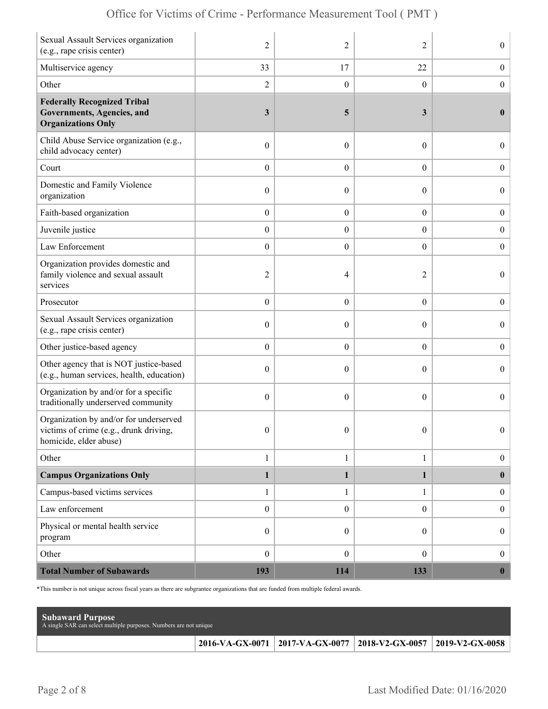|  | Office for Victims of Crime - Performance Measurement Tool (PMT) |  |  |  |  |
|--|------------------------------------------------------------------|--|--|--|--|
|--|------------------------------------------------------------------|--|--|--|--|

| Sexual Assault Services organization<br>(e.g., rape crisis center)                                         | $\overline{2}$   | 2                | 2                | $\boldsymbol{0}$ |
|------------------------------------------------------------------------------------------------------------|------------------|------------------|------------------|------------------|
| Multiservice agency                                                                                        | 33               | 17               | 22               | $\boldsymbol{0}$ |
| Other                                                                                                      | $\overline{c}$   | $\mathbf{0}$     | $\theta$         | $\boldsymbol{0}$ |
| <b>Federally Recognized Tribal</b><br>Governments, Agencies, and<br><b>Organizations Only</b>              | 3                | 5                | 3                | $\bf{0}$         |
| Child Abuse Service organization (e.g.,<br>child advocacy center)                                          | $\boldsymbol{0}$ | $\mathbf{0}$     | $\theta$         | $\overline{0}$   |
| Court                                                                                                      | $\boldsymbol{0}$ | $\theta$         | $\overline{0}$   | $\boldsymbol{0}$ |
| Domestic and Family Violence<br>organization                                                               | $\boldsymbol{0}$ | 0                | $\boldsymbol{0}$ | $\boldsymbol{0}$ |
| Faith-based organization                                                                                   | $\boldsymbol{0}$ | $\boldsymbol{0}$ | $\boldsymbol{0}$ | $\boldsymbol{0}$ |
| Juvenile justice                                                                                           | $\boldsymbol{0}$ | $\overline{0}$   | $\overline{0}$   | $\boldsymbol{0}$ |
| Law Enforcement                                                                                            | $\boldsymbol{0}$ | $\boldsymbol{0}$ | $\boldsymbol{0}$ | $\boldsymbol{0}$ |
| Organization provides domestic and<br>family violence and sexual assault<br>services                       | $\overline{2}$   | 4                | 2                | $\overline{0}$   |
| Prosecutor                                                                                                 | $\boldsymbol{0}$ | $\theta$         | $\boldsymbol{0}$ | $\boldsymbol{0}$ |
| Sexual Assault Services organization<br>(e.g., rape crisis center)                                         | $\boldsymbol{0}$ | $\theta$         | $\theta$         | $\boldsymbol{0}$ |
| Other justice-based agency                                                                                 | $\boldsymbol{0}$ | $\boldsymbol{0}$ | $\boldsymbol{0}$ | $\boldsymbol{0}$ |
| Other agency that is NOT justice-based<br>(e.g., human services, health, education)                        | $\boldsymbol{0}$ | $\theta$         | $\theta$         | $\boldsymbol{0}$ |
| Organization by and/or for a specific<br>traditionally underserved community                               | $\boldsymbol{0}$ | $\theta$         | $\boldsymbol{0}$ | $\overline{0}$   |
| Organization by and/or for underserved<br>victims of crime (e.g., drunk driving,<br>homicide, elder abuse) | $\boldsymbol{0}$ | $\boldsymbol{0}$ | $\overline{0}$   | $\Omega$         |
| Other                                                                                                      | $\mathbf{1}$     | $\mathbf{1}$     | $\mathbf{1}$     | $\boldsymbol{0}$ |
| <b>Campus Organizations Only</b>                                                                           | $\mathbf{1}$     | $\mathbf{1}$     | 1                | $\mathbf{0}$     |
| Campus-based victims services                                                                              | $\mathbf{1}$     | $\mathbf{1}$     | $\mathbf{1}$     | $\boldsymbol{0}$ |
| Law enforcement                                                                                            | $\boldsymbol{0}$ | $\mathbf{0}$     | $\overline{0}$   | $\boldsymbol{0}$ |
| Physical or mental health service<br>program                                                               | $\boldsymbol{0}$ | $\theta$         | $\overline{0}$   | $\boldsymbol{0}$ |
| Other                                                                                                      | $\boldsymbol{0}$ | $\mathbf{0}$     | $\overline{0}$   | $\boldsymbol{0}$ |
| <b>Total Number of Subawards</b>                                                                           | 193              | 114              | 133              | $\boldsymbol{0}$ |

\*This number is not unique across fiscal years as there are subgrantee organizations that are funded from multiple federal awards.

| <b>Subaward Purpose</b><br>A single SAR can select multiple purposes. Numbers are not unique |                                                                 |  |
|----------------------------------------------------------------------------------------------|-----------------------------------------------------------------|--|
|                                                                                              | 2016-VA-GX-0071 2017-VA-GX-0077 2018-V2-GX-0057 2019-V2-GX-0058 |  |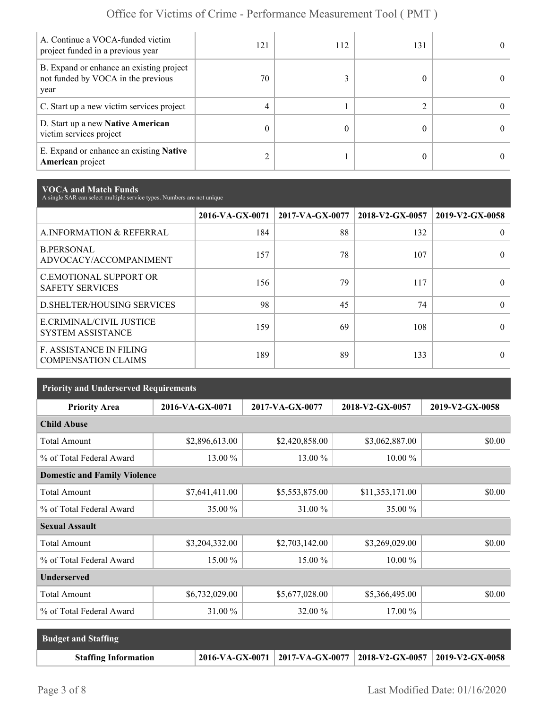| A. Continue a VOCA-funded victim<br>project funded in a previous year                  | 121 | 112 | 131 | $^{\circ}$ |
|----------------------------------------------------------------------------------------|-----|-----|-----|------------|
| B. Expand or enhance an existing project<br>not funded by VOCA in the previous<br>year | 70  |     |     | 0          |
| C. Start up a new victim services project                                              | 4   |     |     | 0          |
| D. Start up a new Native American<br>victim services project                           |     |     |     | $^{\circ}$ |
| E. Expand or enhance an existing <b>Native</b><br><b>American</b> project              |     |     |     | 0          |

**VOCA and Match Funds** A single SAR can select multiple service types. Numbers are not unique

|                                                              | 2016-VA-GX-0071 | $2017$ -VA-GX-0077 | 2018-V2-GX-0057 | 2019-V2-GX-0058 |
|--------------------------------------------------------------|-----------------|--------------------|-----------------|-----------------|
| A.INFORMATION & REFERRAL                                     | 184             | 88                 | 132             | 0               |
| <b>B.PERSONAL</b><br>ADVOCACY/ACCOMPANIMENT                  | 157             | 78                 | 107             | 0               |
| <b>C.EMOTIONAL SUPPORT OR</b><br><b>SAFETY SERVICES</b>      | 156             | 79                 | 117             | 0               |
| D. SHELTER/HOUSING SERVICES                                  | 98              | 45                 | 74              | 0               |
| E.CRIMINAL/CIVIL JUSTICE<br><b>SYSTEM ASSISTANCE</b>         | 159             | 69                 | 108             |                 |
| <b>F. ASSISTANCE IN FILING</b><br><b>COMPENSATION CLAIMS</b> | 189             | 89                 | 133             | 0               |

| <b>Priority and Underserved Requirements</b> |                 |                 |                 |                 |  |  |  |
|----------------------------------------------|-----------------|-----------------|-----------------|-----------------|--|--|--|
| <b>Priority Area</b>                         | 2016-VA-GX-0071 | 2017-VA-GX-0077 | 2018-V2-GX-0057 | 2019-V2-GX-0058 |  |  |  |
| <b>Child Abuse</b>                           |                 |                 |                 |                 |  |  |  |
| <b>Total Amount</b>                          | \$2,896,613.00  | \$2,420,858.00  | \$3,062,887.00  | \$0.00          |  |  |  |
| % of Total Federal Award                     | 13.00 %         | 13.00 %         | $10.00\%$       |                 |  |  |  |
| <b>Domestic and Family Violence</b>          |                 |                 |                 |                 |  |  |  |
| <b>Total Amount</b>                          | \$7,641,411.00  | \$5,553,875.00  | \$11,353,171.00 | \$0.00          |  |  |  |
| % of Total Federal Award                     | 35.00 %         | 31.00 %         | 35.00 %         |                 |  |  |  |
| <b>Sexual Assault</b>                        |                 |                 |                 |                 |  |  |  |
| <b>Total Amount</b>                          | \$3,204,332.00  | \$2,703,142.00  | \$3,269,029.00  | \$0.00          |  |  |  |
| % of Total Federal Award                     | 15.00 %         | 15.00 %         | $10.00\%$       |                 |  |  |  |
| <b>Underserved</b>                           |                 |                 |                 |                 |  |  |  |
| <b>Total Amount</b>                          | \$6,732,029.00  | \$5,677,028.00  | \$5,366,495.00  | \$0.00          |  |  |  |
| % of Total Federal Award                     | 31.00 %         | 32.00 %         | 17.00 %         |                 |  |  |  |

| <b>Budget and Staffing</b>  |                                                                       |  |
|-----------------------------|-----------------------------------------------------------------------|--|
| <b>Staffing Information</b> | 2016-VA-GX-0071   2017-VA-GX-0077   2018-V2-GX-0057   2019-V2-GX-0058 |  |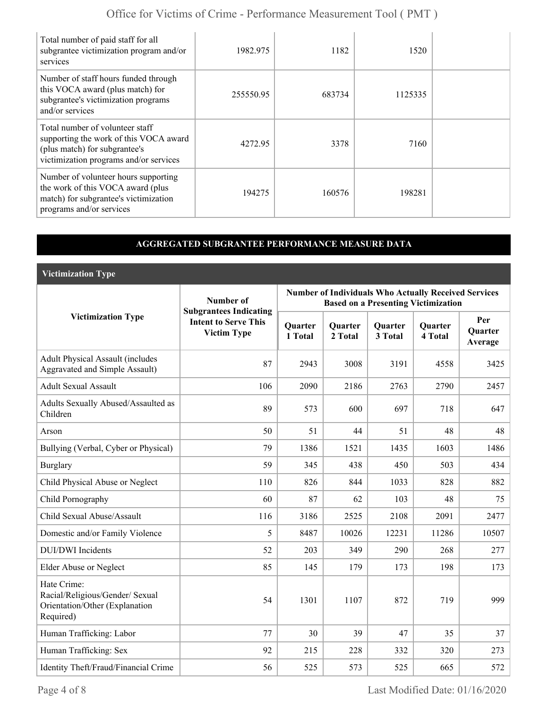| Total number of paid staff for all<br>subgrantee victimization program and/or<br>services                                                            | 1982.975  | 1182   | 1520    |  |
|------------------------------------------------------------------------------------------------------------------------------------------------------|-----------|--------|---------|--|
| Number of staff hours funded through<br>this VOCA award (plus match) for<br>subgrantee's victimization programs<br>and/or services                   | 255550.95 | 683734 | 1125335 |  |
| Total number of volunteer staff<br>supporting the work of this VOCA award<br>(plus match) for subgrantee's<br>victimization programs and/or services | 4272.95   | 3378   | 7160    |  |
| Number of volunteer hours supporting<br>the work of this VOCA award (plus<br>match) for subgrantee's victimization<br>programs and/or services       | 194275    | 160576 | 198281  |  |

#### **AGGREGATED SUBGRANTEE PERFORMANCE MEASURE DATA**

**Victimization Type**

|                                                                                               | Number of                                                                          | <b>Number of Individuals Who Actually Received Services</b><br><b>Based on a Presenting Victimization</b> |                           |                           |                           |                                  |
|-----------------------------------------------------------------------------------------------|------------------------------------------------------------------------------------|-----------------------------------------------------------------------------------------------------------|---------------------------|---------------------------|---------------------------|----------------------------------|
| <b>Victimization Type</b>                                                                     | <b>Subgrantees Indicating</b><br><b>Intent to Serve This</b><br><b>Victim Type</b> | <b>Quarter</b><br>1 Total                                                                                 | <b>Quarter</b><br>2 Total | <b>Quarter</b><br>3 Total | <b>Quarter</b><br>4 Total | Per<br><b>Quarter</b><br>Average |
| <b>Adult Physical Assault (includes</b><br>Aggravated and Simple Assault)                     | 87                                                                                 | 2943                                                                                                      | 3008                      | 3191                      | 4558                      | 3425                             |
| <b>Adult Sexual Assault</b>                                                                   | 106                                                                                | 2090                                                                                                      | 2186                      | 2763                      | 2790                      | 2457                             |
| Adults Sexually Abused/Assaulted as<br>Children                                               | 89                                                                                 | 573                                                                                                       | 600                       | 697                       | 718                       | 647                              |
| Arson                                                                                         | 50                                                                                 | 51                                                                                                        | 44                        | 51                        | 48                        | 48                               |
| Bullying (Verbal, Cyber or Physical)                                                          | 79                                                                                 | 1386                                                                                                      | 1521                      | 1435                      | 1603                      | 1486                             |
| <b>Burglary</b>                                                                               | 59                                                                                 | 345                                                                                                       | 438                       | 450                       | 503                       | 434                              |
| Child Physical Abuse or Neglect                                                               | 110                                                                                | 826                                                                                                       | 844                       | 1033                      | 828                       | 882                              |
| Child Pornography                                                                             | 60                                                                                 | 87                                                                                                        | 62                        | 103                       | 48                        | 75                               |
| Child Sexual Abuse/Assault                                                                    | 116                                                                                | 3186                                                                                                      | 2525                      | 2108                      | 2091                      | 2477                             |
| Domestic and/or Family Violence                                                               | 5                                                                                  | 8487                                                                                                      | 10026                     | 12231                     | 11286                     | 10507                            |
| <b>DUI/DWI</b> Incidents                                                                      | 52                                                                                 | 203                                                                                                       | 349                       | 290                       | 268                       | 277                              |
| Elder Abuse or Neglect                                                                        | 85                                                                                 | 145                                                                                                       | 179                       | 173                       | 198                       | 173                              |
| Hate Crime:<br>Racial/Religious/Gender/ Sexual<br>Orientation/Other (Explanation<br>Required) | 54                                                                                 | 1301                                                                                                      | 1107                      | 872                       | 719                       | 999                              |
| Human Trafficking: Labor                                                                      | 77                                                                                 | 30                                                                                                        | 39                        | 47                        | 35                        | 37                               |
| Human Trafficking: Sex                                                                        | 92                                                                                 | 215                                                                                                       | 228                       | 332                       | 320                       | 273                              |
| Identity Theft/Fraud/Financial Crime                                                          | 56                                                                                 | 525                                                                                                       | 573                       | 525                       | 665                       | 572                              |

Page 4 of 8 Last Modified Date: 01/16/2020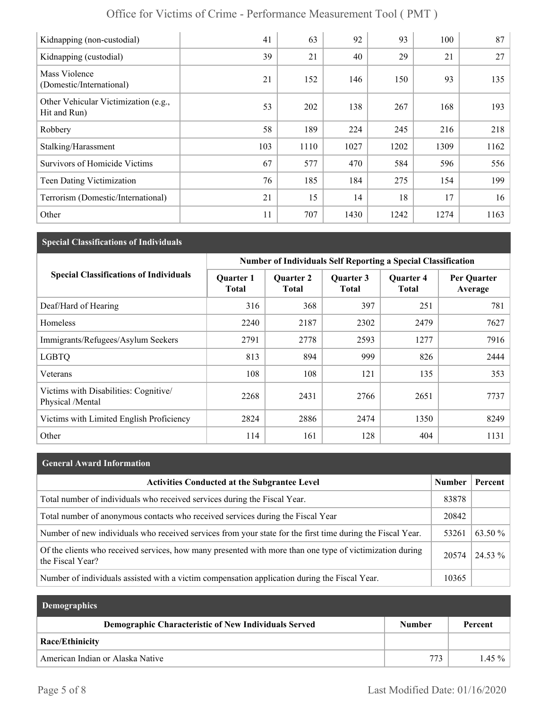| Kidnapping (non-custodial)                           | 41  | 63   | 92   | 93   | 100  | 87   |
|------------------------------------------------------|-----|------|------|------|------|------|
| Kidnapping (custodial)                               | 39  | 21   | 40   | 29   | 21   | 27   |
| Mass Violence<br>(Domestic/International)            | 21  | 152  | 146  | 150  | 93   | 135  |
| Other Vehicular Victimization (e.g.,<br>Hit and Run) | 53  | 202  | 138  | 267  | 168  | 193  |
| Robbery                                              | 58  | 189  | 224  | 245  | 216  | 218  |
| Stalking/Harassment                                  | 103 | 1110 | 1027 | 1202 | 1309 | 1162 |
| <b>Survivors of Homicide Victims</b>                 | 67  | 577  | 470  | 584  | 596  | 556  |
| Teen Dating Victimization                            | 76  | 185  | 184  | 275  | 154  | 199  |
| Terrorism (Domestic/International)                   | 21  | 15   | 14   | 18   | 17   | 16   |
| Other                                                | 11  | 707  | 1430 | 1242 | 1274 | 1163 |

# **Special Classifications of Individuals**

|                                                          | <b>Number of Individuals Self Reporting a Special Classification</b> |                                  |                           |                                  |                        |  |
|----------------------------------------------------------|----------------------------------------------------------------------|----------------------------------|---------------------------|----------------------------------|------------------------|--|
| <b>Special Classifications of Individuals</b>            | <b>Quarter 1</b><br><b>Total</b>                                     | <b>Quarter 2</b><br><b>Total</b> | Quarter 3<br><b>Total</b> | <b>Quarter 4</b><br><b>Total</b> | Per Quarter<br>Average |  |
| Deaf/Hard of Hearing                                     | 316                                                                  | 368                              | 397                       | 251                              | 781                    |  |
| Homeless                                                 | 2240                                                                 | 2187                             | 2302                      | 2479                             | 7627                   |  |
| Immigrants/Refugees/Asylum Seekers                       | 2791                                                                 | 2778                             | 2593                      | 1277                             | 7916                   |  |
| <b>LGBTQ</b>                                             | 813                                                                  | 894                              | 999                       | 826                              | 2444                   |  |
| Veterans                                                 | 108                                                                  | 108                              | 121                       | 135                              | 353                    |  |
| Victims with Disabilities: Cognitive<br>Physical /Mental | 2268                                                                 | 2431                             | 2766                      | 2651                             | 7737                   |  |
| Victims with Limited English Proficiency                 | 2824                                                                 | 2886                             | 2474                      | 1350                             | 8249                   |  |
| Other                                                    | 114                                                                  | 161                              | 128                       | 404                              | 1131                   |  |

#### **General Award Information**

| <b>Activities Conducted at the Subgrantee Level</b>                                                                          | <b>Number</b> | Percent           |
|------------------------------------------------------------------------------------------------------------------------------|---------------|-------------------|
| Total number of individuals who received services during the Fiscal Year.                                                    | 83878         |                   |
| Total number of anonymous contacts who received services during the Fiscal Year                                              | 20842         |                   |
| Number of new individuals who received services from your state for the first time during the Fiscal Year.                   | 53261         | 63.50 %           |
| Of the clients who received services, how many presented with more than one type of victimization during<br>the Fiscal Year? | 20574         | $\frac{24.53}{6}$ |
| Number of individuals assisted with a victim compensation application during the Fiscal Year.                                | 10365         |                   |

| <b>Demographics</b>                                  |               |          |
|------------------------------------------------------|---------------|----------|
| Demographic Characteristic of New Individuals Served | <b>Number</b> | Percent  |
| Race/Ethinicity                                      |               |          |
| American Indian or Alaska Native                     | 773           | $1.45\%$ |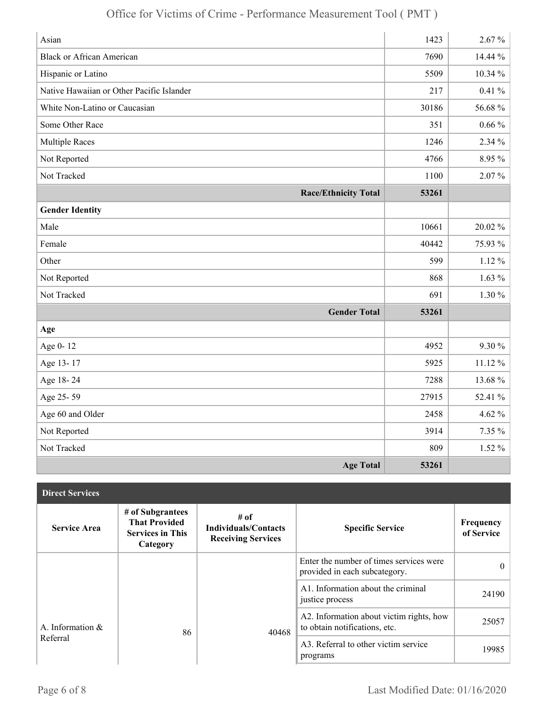| Asian                                     | 1423  | $2.67\%$   |
|-------------------------------------------|-------|------------|
| <b>Black or African American</b>          | 7690  | 14.44 %    |
| Hispanic or Latino                        | 5509  | 10.34 %    |
| Native Hawaiian or Other Pacific Islander | 217   | $0.41\%$   |
| White Non-Latino or Caucasian             | 30186 | 56.68%     |
| Some Other Race                           | 351   | $0.66\,\%$ |
| <b>Multiple Races</b>                     | 1246  | 2.34 %     |
| Not Reported                              | 4766  | 8.95 %     |
| Not Tracked                               | 1100  | $2.07\%$   |
| <b>Race/Ethnicity Total</b>               | 53261 |            |
| <b>Gender Identity</b>                    |       |            |
| Male                                      | 10661 | 20.02%     |
| Female                                    | 40442 | 75.93 %    |
| Other                                     | 599   | $1.12\%$   |
| Not Reported                              | 868   | $1.63\%$   |
| Not Tracked                               | 691   | $1.30\%$   |
| <b>Gender Total</b>                       | 53261 |            |
| Age                                       |       |            |
| Age 0-12                                  | 4952  | 9.30 %     |
| Age 13-17                                 | 5925  | $11.12\%$  |
| Age 18-24                                 | 7288  | 13.68%     |
| Age 25-59                                 | 27915 | 52.41 %    |
| Age 60 and Older                          | 2458  | 4.62 $%$   |
| Not Reported                              | 3914  | 7.35 %     |
| Not Tracked                               | 809   | $1.52\%$   |
| <b>Age Total</b>                          | 53261 |            |

| <b>Direct Services</b> |                                                                                 |                                                                  |                                                                           |                         |
|------------------------|---------------------------------------------------------------------------------|------------------------------------------------------------------|---------------------------------------------------------------------------|-------------------------|
| <b>Service Area</b>    | # of Subgrantees<br><b>That Provided</b><br><b>Services in This</b><br>Category | # of<br><b>Individuals/Contacts</b><br><b>Receiving Services</b> | <b>Specific Service</b>                                                   | Frequency<br>of Service |
|                        |                                                                                 |                                                                  | Enter the number of times services were<br>provided in each subcategory.  | $\Omega$                |
|                        |                                                                                 |                                                                  | A1. Information about the criminal<br>justice process                     | 24190                   |
| A. Information $\&$    | 86                                                                              | 40468                                                            | A2. Information about victim rights, how<br>to obtain notifications, etc. | 25057                   |
| Referral               |                                                                                 |                                                                  | A3. Referral to other victim service<br>programs                          | 19985                   |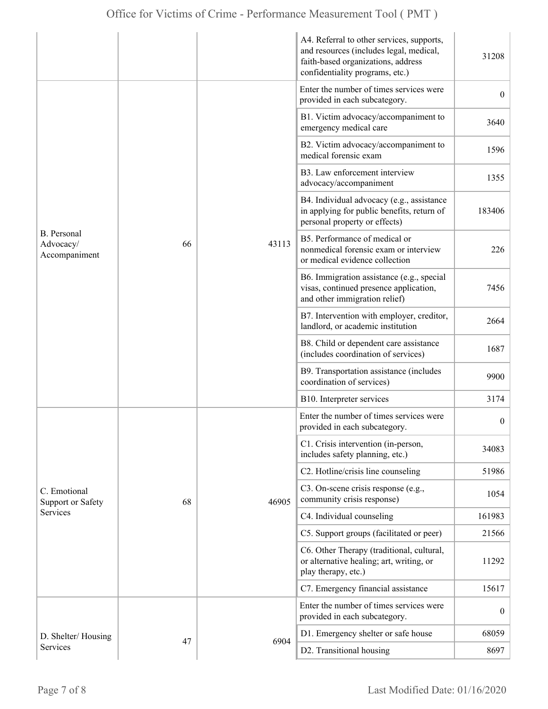|                                                  |    |       | A4. Referral to other services, supports,<br>and resources (includes legal, medical,<br>faith-based organizations, address<br>confidentiality programs, etc.) | 31208            |
|--------------------------------------------------|----|-------|---------------------------------------------------------------------------------------------------------------------------------------------------------------|------------------|
|                                                  |    | 43113 | Enter the number of times services were<br>provided in each subcategory.                                                                                      | $\overline{0}$   |
|                                                  |    |       | B1. Victim advocacy/accompaniment to<br>emergency medical care                                                                                                | 3640             |
|                                                  |    |       | B2. Victim advocacy/accompaniment to<br>medical forensic exam                                                                                                 | 1596             |
|                                                  |    |       | B3. Law enforcement interview<br>advocacy/accompaniment                                                                                                       | 1355             |
|                                                  |    |       | B4. Individual advocacy (e.g., assistance<br>in applying for public benefits, return of<br>personal property or effects)                                      | 183406           |
| <b>B.</b> Personal<br>Advocacy/<br>Accompaniment | 66 |       | B5. Performance of medical or<br>nonmedical forensic exam or interview<br>or medical evidence collection                                                      | 226              |
|                                                  |    |       | B6. Immigration assistance (e.g., special<br>visas, continued presence application,<br>and other immigration relief)                                          | 7456             |
|                                                  |    |       | B7. Intervention with employer, creditor,<br>landlord, or academic institution                                                                                | 2664             |
|                                                  |    |       | B8. Child or dependent care assistance<br>(includes coordination of services)                                                                                 | 1687             |
|                                                  |    |       | B9. Transportation assistance (includes<br>coordination of services)                                                                                          | 9900             |
|                                                  |    |       | B10. Interpreter services                                                                                                                                     | 3174             |
|                                                  |    | 46905 | Enter the number of times services were<br>provided in each subcategory.                                                                                      | $\boldsymbol{0}$ |
|                                                  |    |       | C1. Crisis intervention (in-person,<br>includes safety planning, etc.)                                                                                        | 34083            |
|                                                  |    |       | C2. Hotline/crisis line counseling                                                                                                                            | 51986            |
| C. Emotional<br>Support or Safety                | 68 |       | C3. On-scene crisis response (e.g.,<br>community crisis response)                                                                                             | 1054             |
| Services                                         |    |       | C4. Individual counseling                                                                                                                                     | 161983           |
|                                                  |    |       | C5. Support groups (facilitated or peer)                                                                                                                      | 21566            |
|                                                  |    |       | C6. Other Therapy (traditional, cultural,<br>or alternative healing; art, writing, or<br>play therapy, etc.)                                                  | 11292            |
|                                                  |    |       | C7. Emergency financial assistance                                                                                                                            | 15617            |
|                                                  | 47 |       | Enter the number of times services were<br>provided in each subcategory.                                                                                      | $\overline{0}$   |
| D. Shelter/Housing                               |    | 6904  | D1. Emergency shelter or safe house                                                                                                                           | 68059            |
| Services                                         |    |       | D2. Transitional housing                                                                                                                                      | 8697             |